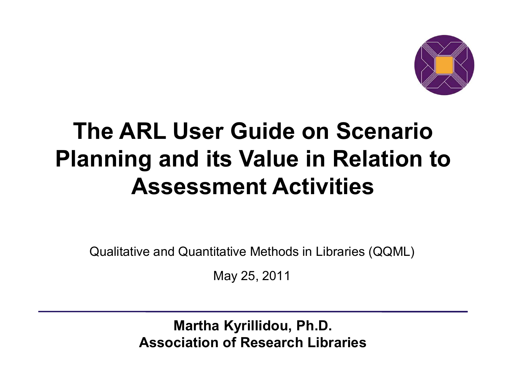

### **The ARL User Guide on Scenario Planning and its Value in Relation to Assessment Activities**

Qualitative and Quantitative Methods in Libraries (QQML)

May 25, 2011

**Martha Kyrillidou, Ph.D. Association of Research Libraries**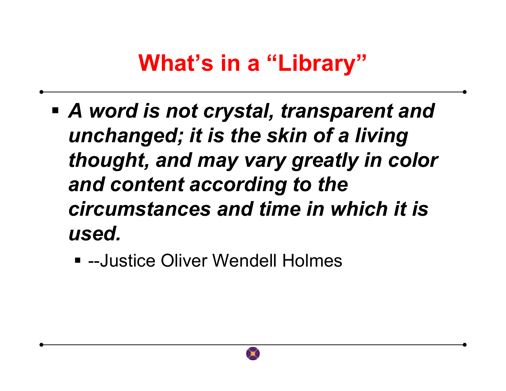#### **What's in a "Library"**

- *A word is not crystal, transparent and unchanged; it is the skin of a living thought, and may vary greatly in color and content according to the circumstances and time in which it is used.*
	- --Justice Oliver Wendell Holmes

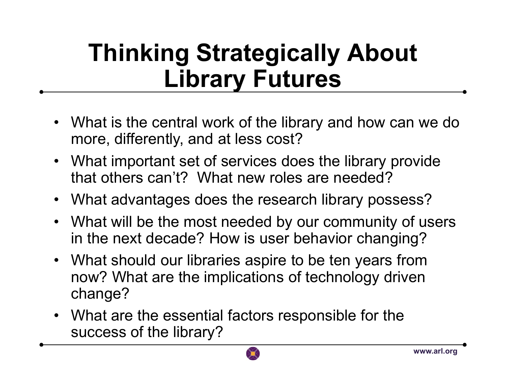## **Thinking Strategically About Library Futures**

- What is the central work of the library and how can we do<br>more differently and at less cost? more, differently, and at less cost?
- What important set of services does the library provide<br>that others can't? What now reles are needed? that others can't? What new roles are needed?
- •What advantages does the research library possess?
- What will be the most needed by our community of users<br>in the next decade? Hew is user behavior changing? in the next decade? How is user behavior changing?
- $\bullet$  What should our libraries aspire to be ten years from now? What are the implications of technology driven change?
- What are the essential factors responsible for the success of the library? success of the library?

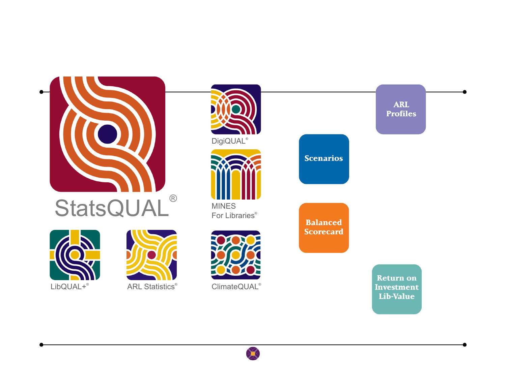

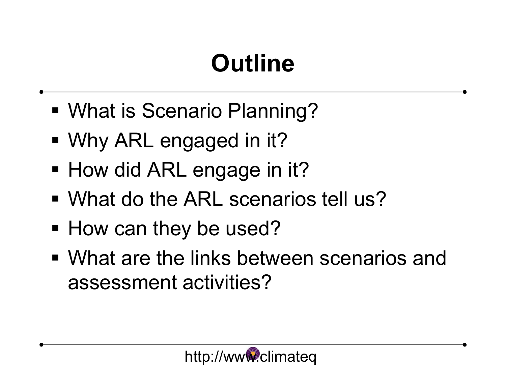# **Outline**

- What is Scenario Planning?
- Why ARL engaged in it?
- How did ARL engage in it?
- What do the ARL scenarios tell us?
- How can they be used?
- What are the links between scenarios and assessment activities?

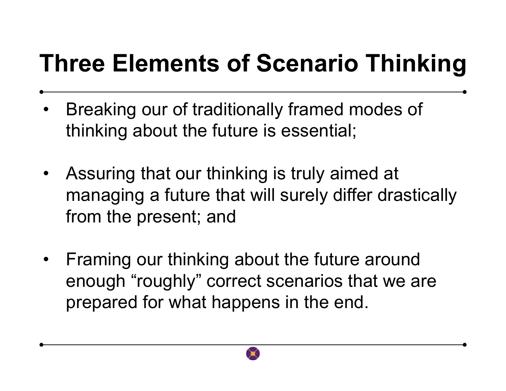# **Three Elements of Scenario Thinking**

- • Breaking our of traditionally framed modes of thinking about the future is essential;
- Assuring that our thinking is truly aimed at<br>managing a future that will awaly differ dra managing a future that will surely differ drastically from the present; and
- $\bullet$  Framing our thinking about the future around enough "roughly" correct scenarios that we are prepared for what happens in the end.

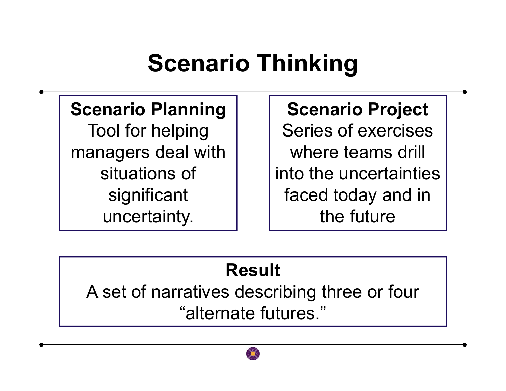### **Scenario Thinking**

#### **Scenario Planning**

Tool for helping managers deal with situations of significant uncertainty.

#### **Scenario Project**

Series of exercises where teams drill into the uncertainties faced today and in the future

#### **Result**

A set of narratives describing three or four "alternate futures."

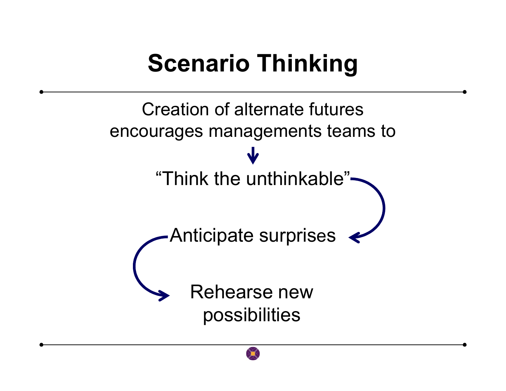### **Scenario Thinking**

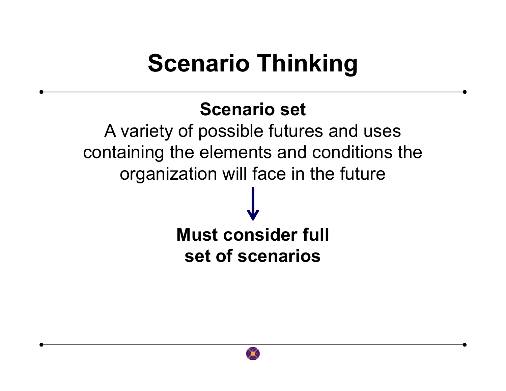### **Scenario Thinking**

#### **Scenario set**

A variety of possible futures and uses containing the elements and conditions the organization will face in the future**Must consider full** 

**set of scenarios**

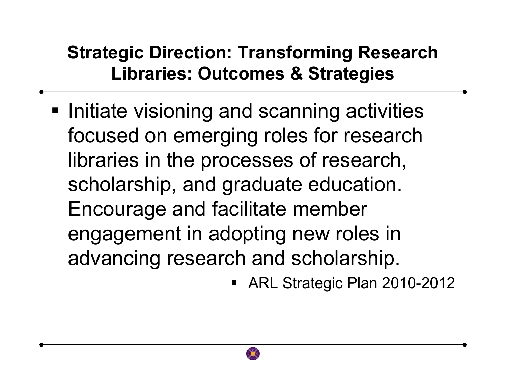#### **Strategic Direction: Transforming Research Libraries: Outcomes & Strategies**

**Initiate visioning and scanning activities** focused on emerging roles for research libraries in the processes of research, scholarship, and graduate education. Encourage and facilitate member engagement in adopting new roles in advancing research and scholarship.

ARL Strategic Plan 2010-2012

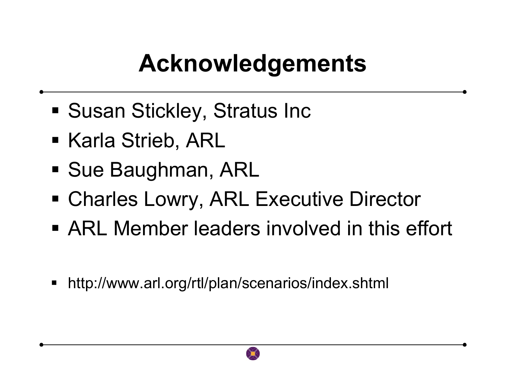## **Acknowledgements**

- Susan Stickley, Stratus Inc
- Karla Strieb, ARL
- **Sue Baughman, ARL**
- Charles Lowry, ARL Executive Director
- ARL Member leaders involved in this effort
- E http://www.arl.org/rtl/plan/scenarios/index.shtml

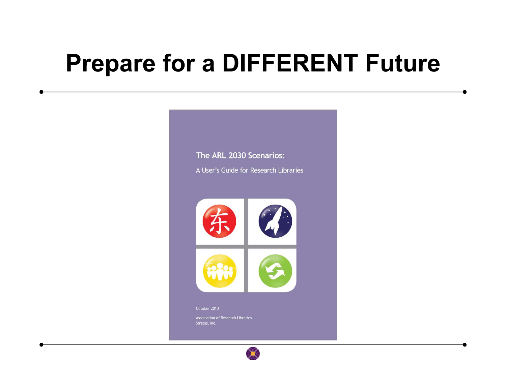#### **Prepare for a DIFFERENT Future**



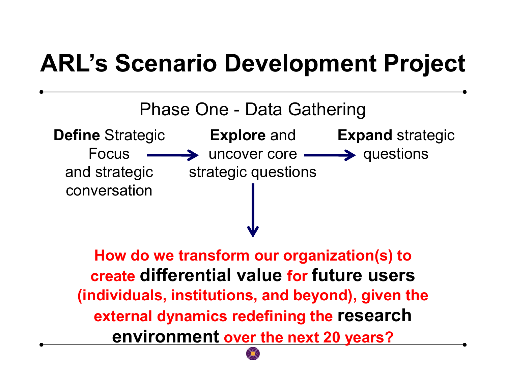### **ARL's Scenario Development Project**



**How do we transform our organization(s) to create differential value for future users (individuals, institutions, and beyond), given the external dynamics redefining the research environment over the next 20 years?**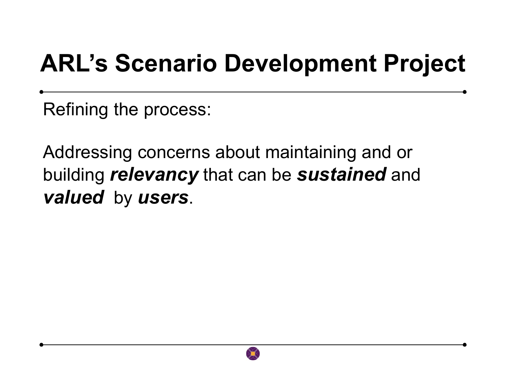# **ARL's Scenario Development Project**

Refining the process:

Addressing concerns about maintaining and or building *relevancy* that can be *sustained* and *valued* by *users*.

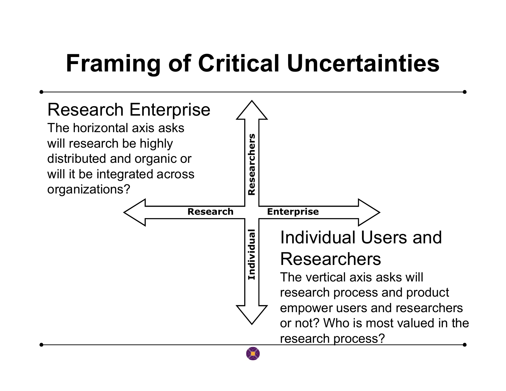# **Framing of Critical Uncertainties**

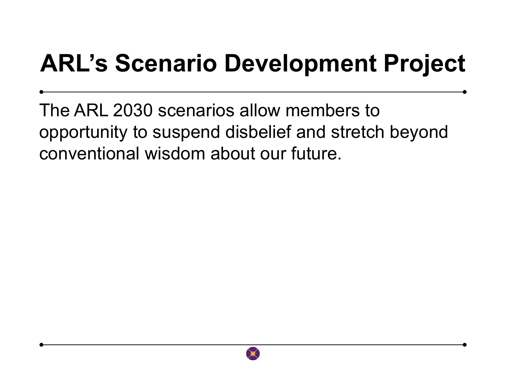# **ARL's Scenario Development Project**

The ARL 2030 scenarios allow members to opportunity to suspend disbelief and stretch beyondconventional wisdom about our future.

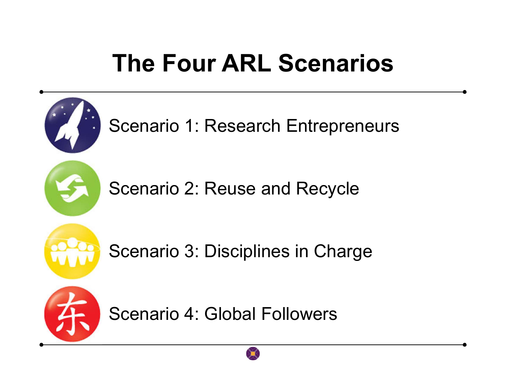# **The Four ARL Scenarios**

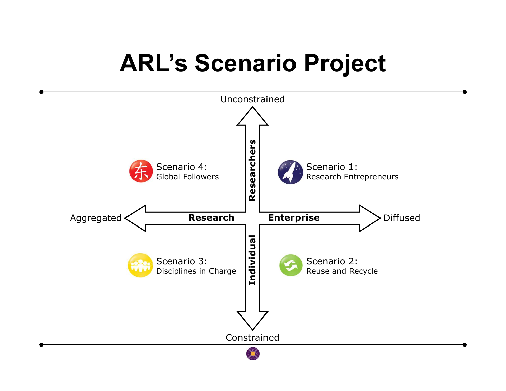#### **ARL's Scenario Project**

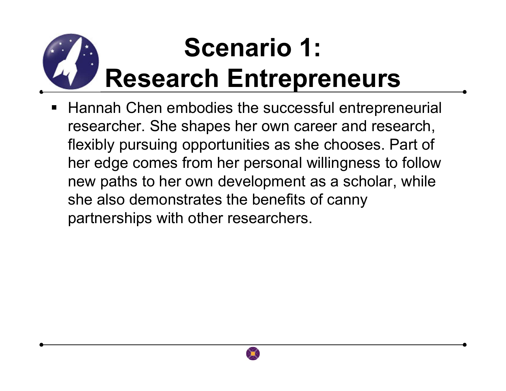# **Scenario 1: Research Entrepreneurs**

■ Hannah Chen embodies the successful entrepreneurial L researcher. She shapes her own career and research, flexibly pursuing opportunities as she chooses. Part of her edge comes from her personal willingness to follow new paths to her own development as a scholar, while she also demonstrates the benefits of canny partnerships with other researchers.

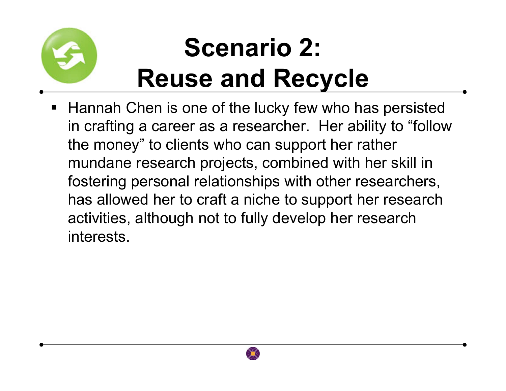

# **Scenario 2: Reuse and Recycle**

■ Hannah Chen is one of the lucky few who has persisted in crafting a career as a researcher. Her ability to "follow the money" to clients who can support her rather mundane research projects, combined with her skill in fostering personal relationships with other researchers, has allowed her to craft a niche to support her research activities, although not to fully develop her research interests.

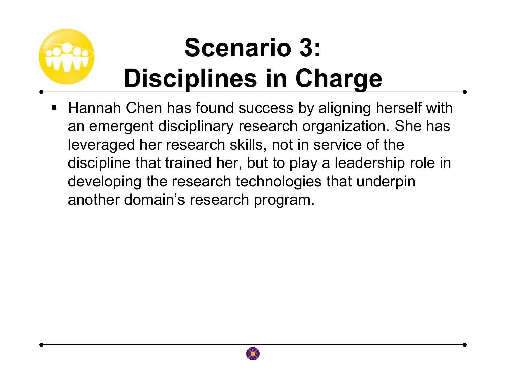# **Scenario 3: Disciplines in Charge**

■ Hannah Chen has found success by aligning herself with an emergent disciplinary research organization. She has leveraged her research skills, not in service of the discipline that trained her, but to play a leadership role in developing the research technologies that underpin another domain's research program.

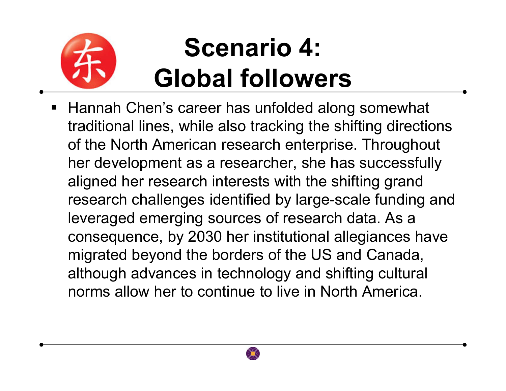

# **Scenario 4: Global followers**

■ Hannah Chen's career has unfolded along somewhat traditional lines, while also tracking the shifting directions of the North American research enterprise. Throughout her development as a researcher, she has successfully aligned her research interests with the shifting grand research challenges identified by large-scale funding and leveraged emerging sources of research data. As a consequence, by 2030 her institutional allegiances have migrated beyond the borders of the US and Canada, although advances in technology and shifting cultural norms allow her to continue to live in North America.

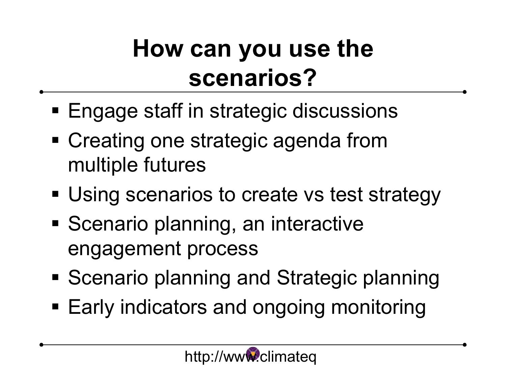# **How can you use the scenarios?**

- **Engage staff in strategic discussions**
- Creating one strategic agenda from multiple futures
- **Using scenarios to create vs test strategy**
- **Scenario planning, an interactive** engagement process
- **Scenario planning and Strategic planning**
- Early indicators and ongoing monitoring

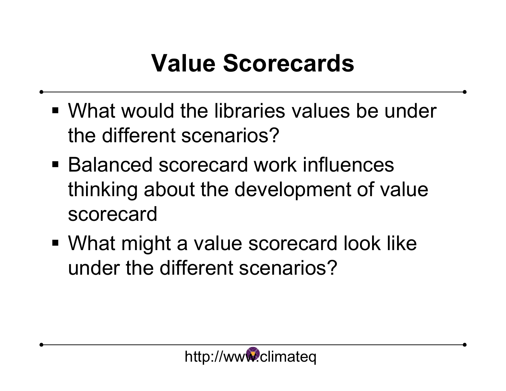# **Value Scorecards**

- What would the libraries values be under the different scenarios?
- Balanced scorecard work influences thinking about the development of value scorecard
- What might a value scorecard look like under the different scenarios?

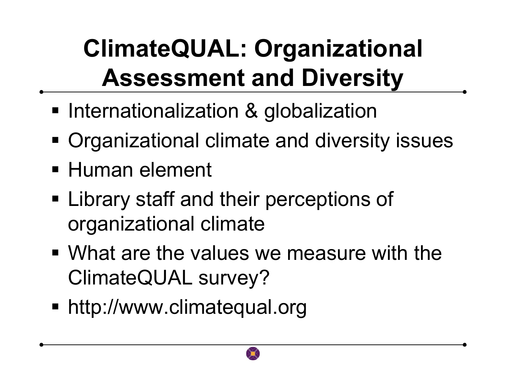# **ClimateQUAL: Organizational Assessment and Diversity**

- **Internationalization & globalization**
- **Organizational climate and diversity issues**
- Human element
- **Example 1 Elibrary staff and their perceptions of** organizational climate
- What are the values we measure with the ClimateQUAL survey?
- http://www.climatequal.org